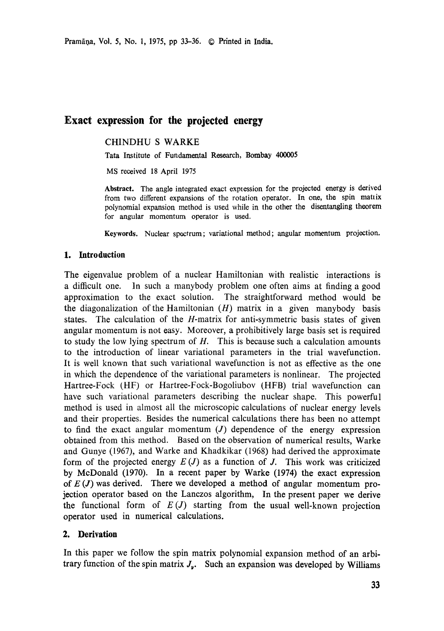Pramāņa, Vol. 5, No. 1, 1975, pp 33-36. © Printed in India.

# **Exact expression for the projected energy**

CHINDHU S WARKE

Tata Institute of Fundamental Research, Bombay 400005

MS received 18 April 1975

**Abstract.** The angle integrated exact expression for the projected energy is derived from two different expansions of the rotation operator. In one, the spin matrix polynomial expansion method is used while in the other the disentangling **theorem**  for angular momentum operator is used.

Keywords. Nuclear spectrum; variational method; angular momentum projection.

### **1. Introduction**

The eigenvalue problem of a nuclear Hamiltonian with realistic interactions is a difficult one. In such a manybody problem one often aims at finding a good approximation to the exact solution. The straightforward method would be the diagonalization of the Hamiltonian  $(H)$  matrix in a given manybody basis states. The calculation of the H-matrix for anti-symmetric basis states of given angular momentum is not easy. Moreover, a prohibitively large basis set is required to study the low lying spectrum of  $H$ . This is because such a calculation amounts to the introduction of linear variational parameters in the trial wavefunction. It is well known that such variational wavefunction is not as effective as the one in which the dependence of the variational parameters is nonlinear. The projected Hartree-Fock (HF) or Hartree-Fock-Bogoliubov (HFB) trial wavefunction can have such variational parameters describing the nuclear shape. This powerful method is used in almost all the microscopic calculations of nuclear energy levels and their properties. Besides the numerical calculations there has been no attempt to find the exact angular momentum  $(J)$  dependence of the energy expression obtained from this method. Based on the observation of numerical results, Warke and Gunye (1967), and Warke and Khadkikar (1968) had derived the approximate form of the projected energy  $E(J)$  as a function of J. This work was criticized by McDonald (1970). In a recent paper by Warke (1974) the exact expression of  $E(J)$  was derived. There we developed a method of angular momentum projection operator based on the Lanczos algorithm, In the present paper we derive the functional form of  $E(J)$  starting from the usual well-known projection operator used in numerical calculations.

## **2. Derivation**

In this paper we follow the spin matrix polynomial expansion method of an arbitrary function of the spin matrix  $J_{\nu}$ . Such an expansion was developed by Williams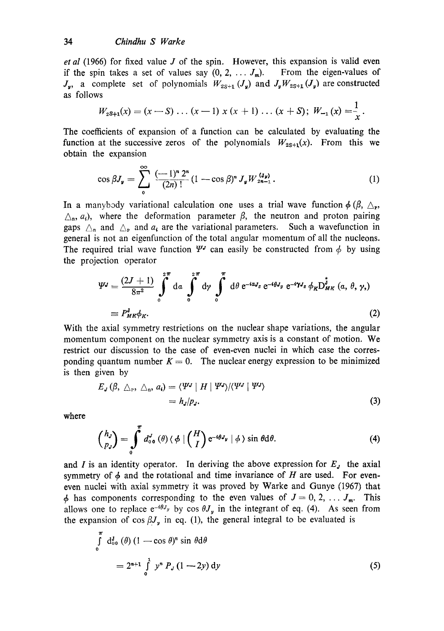#### 34 *Chindhu S Warke*

*et al* (1966) for fixed value J of the spin. However, this expansion is valid even if the spin takes a set of values say  $(0, 2, \ldots, J_m)$ . From the eigen-values of  $J_{\nu}$ , a complete set of polynomials  $W_{2S+1}(J_{\nu})$  and  $J_{\nu}W_{2S+1}(J_{\nu})$  are constructed as follows  $\overline{a}$ 

$$
W_{2S+1}(x)=(x-S)\ldots(x-1)x(x+1)\ldots(x+S); W_{-1}(x)=\frac{1}{x}.
$$

The coefficients of expansion of a function can be calculated by evaluating the function at the successive zeros of the polynomials  $W_{2s+1}(x)$ . From this we obtain the expansion

$$
\cos \beta J_{y} = \sum_{0}^{\infty} \frac{(-1)^{n} 2^{n}}{(2n)!} (1 - \cos \beta)^{n} J_{y} W_{2n-1}^{(J_{y})}.
$$
 (1)

In a manybody variational calculation one uses a trial wave function  $\phi$  ( $\beta$ ,  $\Delta_{\mathbf{r}}$ ,  $\triangle_n$ ,  $a_i$ ), where the deformation parameter  $\beta$ , the neutron and proton pairing gaps  $\Delta_{n}$  and  $\Delta_{p}$  and  $a_{i}$  are the variational parameters. Such a wavefunction in general is not an eigenfunction of the total angular momentum of all the nucleons. The required trial wave function  $\Psi^J$  can easily be constructed from  $\phi$  by using the projection operator

$$
\Psi^{J} = \frac{(2J+1)}{8\pi^{2}} \int_{0}^{2\pi} d\alpha \int_{0}^{2\pi} d\gamma \int_{0}^{\pi} d\theta e^{-i\alpha J_{z}} e^{-i\theta J_{y}} e^{-i\gamma J_{z}} \phi_{K} D_{MK}^{\dagger} (\alpha, \theta, \gamma, )
$$
  

$$
\equiv P_{MK}^{J} \phi_{K}.
$$
 (2)

With the axial symmetry restrictions on the nuclear shape variations, the angular momentum component on the nuclear symmetry axis is a constant of motion. We restrict our discussion to the case of even-even nuclei in which case the corresponding quantum number  $K = 0$ . The nuclear energy expression to be minimized is then given by

$$
E_J(\beta, \triangle_r, \triangle_n, a_i) = \langle \Psi^J | H | \Psi^J \rangle / \langle \Psi^J | \Psi^J \rangle
$$
  
=  $h_J/p_J.$  (3)

where

$$
\begin{pmatrix} h_J \\ p_J \end{pmatrix} = \int_0^T d_{00}^J \left( \theta \right) \langle \phi | \begin{pmatrix} H \\ I \end{pmatrix} e^{-i\theta J_y} | \phi \rangle \sin \theta d\theta. \tag{4}
$$

and I is an identity operator. In deriving the above expression for  $E<sub>J</sub>$  the axial symmetry of  $\phi$  and the rotational and time invariance of H are used. For eveneven nuclei with axial symmetry it was proved by Warke and Gunye (1957) that  $\phi$  has components corresponding to the even values of  $J = 0, 2, \ldots J_m$ . This allows one to replace  $e^{-i\theta J_y}$  by cos  $\theta J_y$  in the integrant of eq. (4). As seen from the expansion of cos  $\beta J_{y}$  in eq. (1), the general integral to be evaluated is

$$
\int_{0}^{\pi} d_{00}^{J}(\theta) (1 - \cos \theta)^{n} \sin \theta d\theta
$$
  
=  $2^{n+1} \int_{0}^{1} y^{n} P_{J} (1 - 2y) dy$  (5)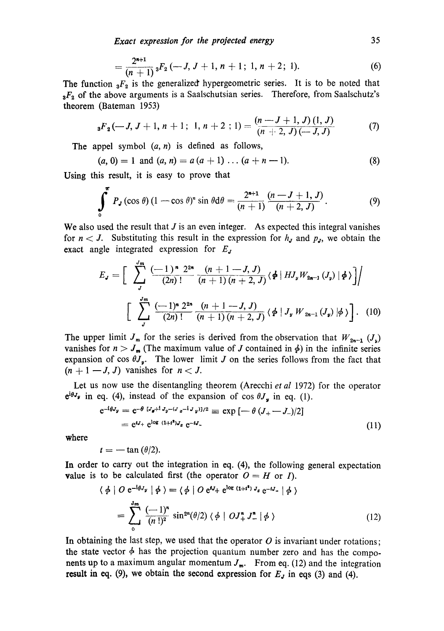*Exact expression for the projected energy* 35

$$
=\frac{2^{n+1}}{(n+1)} {}_3F_2\left(-J, J+1, n+1; 1, n+2; 1\right).
$$
 (6)

The function  ${}_{3}F_{2}$  is the generalized hypergeometric series. It is to be noted that  $3F_2$  of the above arguments is a Saalschutsian series. Therefore, from Saalschutz's theorem (Bateman 1953)

$$
{}_{3}F_{2}(-J, J+1, n+1; 1, n+2; 1) = \frac{(n-J+1, J)(1, J)}{(n+2, J)(-J, J)}
$$
(7)

The appel symbol  $(a, n)$  is defined as follows,

$$
(a, 0) = 1 \text{ and } (a, n) = a (a + 1) \dots (a + n - 1). \tag{8}
$$

Using this result, it is easy to prove that

$$
\int_{0}^{\pi} P_{J}(\cos \theta) (1 - \cos \theta)^{n} \sin \theta d\theta = \frac{2^{n+1}}{(n+1)} \frac{(n-J+1, J)}{(n+2, J)}.
$$
 (9)

We also used the result that  $J$  is an even integer. As expected this integral vanishes for  $n < J$ . Substituting this result in the expression for  $h<sub>J</sub>$  and  $p<sub>J</sub>$ , we obtain the exact angle integrated expression for  $E<sub>J</sub>$ 

$$
E_{J} = \left[ \sum_{J}^{J_{m}} \frac{(-1)^{n} 2^{2n}}{(2n)!} \frac{(n+1-J, J)}{(n+1)(n+2, J)} \langle \phi | HJ_{y} W_{2n-1} (J_{y}) | \phi \rangle \right] / \left[ \sum_{J}^{J_{m}} \frac{(-1)^{n} 2^{2n}}{(2n)!} \frac{(n+1-J, J)}{(n+1)(n+2, J)} \langle \phi | J_{y} W_{2n-1} (J_{y}) | \phi \rangle \right]. \tag{10}
$$

The upper limit  $J_m$  for the series is derived from the observation that  $W_{2n-1}$   $(J_{\nu})$ vanishes for  $n > J_m$  (The maximum value of J contained in  $\phi$ ) in the infinite series expansion of cos  $\theta J_y$ . The lower limit J on the series follows from the fact that  $(n + 1 - J, J)$  vanishes for  $n < J$ .

Let us now use the disentangling theorem (Arecchi *et al* 1972) for the operator  $e^{i\theta J_y}$  in eq. (4), instead of the expansion of cos  $\theta J_y$  in eq. (1).

$$
e^{-i\theta J_y} = e^{-\theta} \, {}^{[J_g+1} J_y - (J_g - iJ_g)]/2} \equiv \exp \left[ -\theta \, (J_+ - J_-)/2 \right]
$$
\n
$$
= e^{iJ_+} e^{i\log (1+i^2)J_g} \, e^{-iJ_-} \tag{11}
$$

where

$$
t=-\tan{(\theta/2)}.
$$

In order to carry out the integration in eq. (4), the following general expectation value is to be calculated first (the operator  $O = H$  or I).

$$
\langle \phi | O e^{-i\theta J_y} | \phi \rangle = \langle \phi | O e^{iJ_+} e^{i\theta g} (1+i^s) J_g e^{-iJ_-} | \phi \rangle
$$
  
= 
$$
\sum_{0}^{J_m} \frac{(-1)^n}{(n!)^2} \sin^{2n}(\theta/2) \langle \phi | O J_+^* J_-^* | \phi \rangle
$$
 (12)

In obtaining the last step, we used that the operator  $O$  is invariant under rotations; the state vector  $\phi$  has the projection quantum number zero and has the components up to a maximum angular momentum  $J_m$ . From eq. (12) and the integration **result in eq.** (9), we obtain the second expression for  $E<sub>j</sub>$  in eqs (3) and (4).